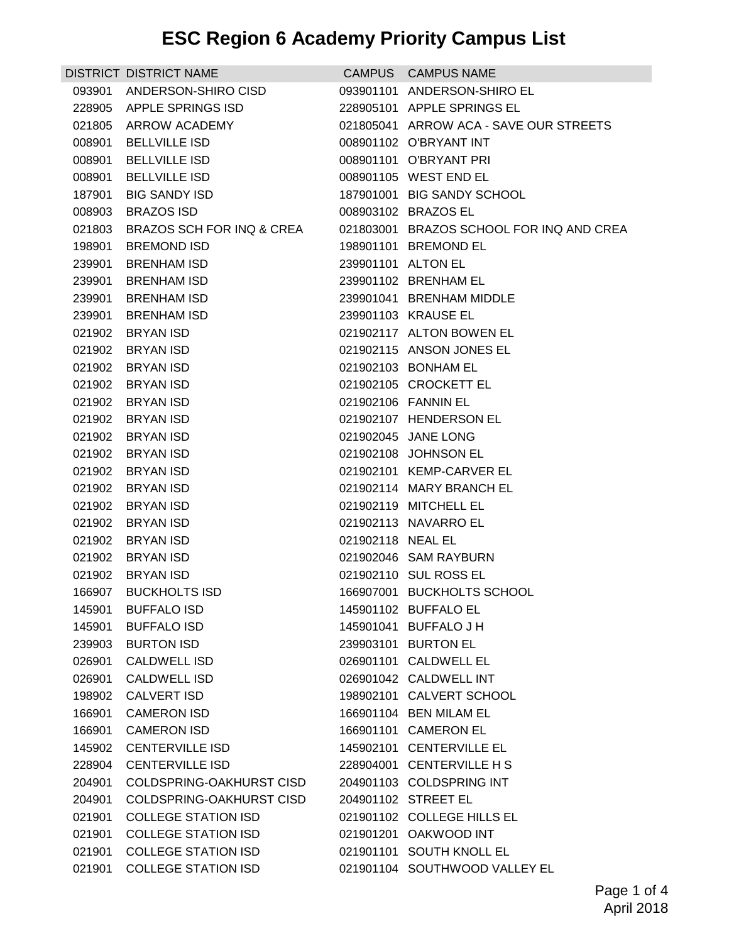|        | DISTRICT DISTRICT NAME     |                    | CAMPUS CAMPUS NAME                       |
|--------|----------------------------|--------------------|------------------------------------------|
|        | 093901 ANDERSON-SHIRO CISD |                    | 093901101 ANDERSON-SHIRO EL              |
|        | 228905 APPLE SPRINGS ISD   |                    | 228905101 APPLE SPRINGS EL               |
|        | 021805 ARROW ACADEMY       |                    | 021805041 ARROW ACA - SAVE OUR STREETS   |
| 008901 | <b>BELLVILLE ISD</b>       |                    | 008901102 O'BRYANT INT                   |
| 008901 | <b>BELLVILLE ISD</b>       |                    | 008901101 O'BRYANT PRI                   |
| 008901 | <b>BELLVILLE ISD</b>       |                    | 008901105 WEST END EL                    |
| 187901 | <b>BIG SANDY ISD</b>       |                    | 187901001 BIG SANDY SCHOOL               |
| 008903 | <b>BRAZOS ISD</b>          |                    | 008903102 BRAZOS EL                      |
| 021803 | BRAZOS SCH FOR INQ & CREA  |                    | 021803001 BRAZOS SCHOOL FOR INQ AND CREA |
| 198901 | <b>BREMOND ISD</b>         |                    | 198901101 BREMOND EL                     |
| 239901 | <b>BRENHAM ISD</b>         | 239901101 ALTON EL |                                          |
| 239901 | <b>BRENHAM ISD</b>         |                    | 239901102 BRENHAM EL                     |
| 239901 | <b>BRENHAM ISD</b>         |                    | 239901041 BRENHAM MIDDLE                 |
|        | 239901 BRENHAM ISD         |                    | 239901103 KRAUSE EL                      |
|        | 021902 BRYAN ISD           |                    | 021902117 ALTON BOWEN EL                 |
| 021902 | <b>BRYAN ISD</b>           |                    | 021902115 ANSON JONES EL                 |
| 021902 | <b>BRYAN ISD</b>           |                    | 021902103 BONHAM EL                      |
| 021902 | <b>BRYAN ISD</b>           |                    | 021902105 CROCKETT EL                    |
|        | 021902 BRYAN ISD           |                    | 021902106 FANNIN EL                      |
| 021902 | BRYAN ISD                  |                    | 021902107 HENDERSON EL                   |
| 021902 | <b>BRYAN ISD</b>           |                    | 021902045 JANE LONG                      |
|        | 021902 BRYAN ISD           |                    | 021902108 JOHNSON EL                     |
| 021902 | <b>BRYAN ISD</b>           |                    | 021902101 KEMP-CARVER EL                 |
| 021902 | BRYAN ISD                  |                    | 021902114 MARY BRANCH EL                 |
| 021902 | <b>BRYAN ISD</b>           |                    | 021902119 MITCHELL EL                    |
| 021902 | <b>BRYAN ISD</b>           |                    | 021902113 NAVARRO EL                     |
| 021902 | <b>BRYAN ISD</b>           | 021902118 NEAL EL  |                                          |
| 021902 | <b>BRYAN ISD</b>           |                    | 021902046 SAM RAYBURN                    |
| 021902 | <b>BRYAN ISD</b>           |                    | 021902110 SUL ROSS EL                    |
| 166907 | <b>BUCKHOLTS ISD</b>       |                    | 166907001 BUCKHOLTS SCHOOL               |
| 145901 | <b>BUFFALO ISD</b>         |                    | 145901102 BUFFALO EL                     |
| 145901 | <b>BUFFALO ISD</b>         |                    | 145901041 BUFFALO J H                    |
| 239903 | <b>BURTON ISD</b>          |                    | 239903101 BURTON EL                      |
| 026901 | <b>CALDWELL ISD</b>        |                    | 026901101 CALDWELL EL                    |
| 026901 | <b>CALDWELL ISD</b>        |                    | 026901042 CALDWELL INT                   |
| 198902 | <b>CALVERT ISD</b>         |                    | 198902101 CALVERT SCHOOL                 |
| 166901 | <b>CAMERON ISD</b>         |                    | 166901104 BEN MILAM EL                   |
| 166901 | <b>CAMERON ISD</b>         |                    | 166901101 CAMERON EL                     |
| 145902 | <b>CENTERVILLE ISD</b>     |                    | 145902101 CENTERVILLE EL                 |
| 228904 | <b>CENTERVILLE ISD</b>     |                    | 228904001 CENTERVILLE H S                |
| 204901 | COLDSPRING-OAKHURST CISD   |                    | 204901103 COLDSPRING INT                 |
| 204901 | COLDSPRING-OAKHURST CISD   |                    | 204901102 STREET EL                      |
| 021901 | <b>COLLEGE STATION ISD</b> |                    | 021901102 COLLEGE HILLS EL               |
| 021901 | <b>COLLEGE STATION ISD</b> |                    | 021901201 OAKWOOD INT                    |
| 021901 | <b>COLLEGE STATION ISD</b> |                    | 021901101 SOUTH KNOLL EL                 |
| 021901 | <b>COLLEGE STATION ISD</b> |                    | 021901104 SOUTHWOOD VALLEY EL            |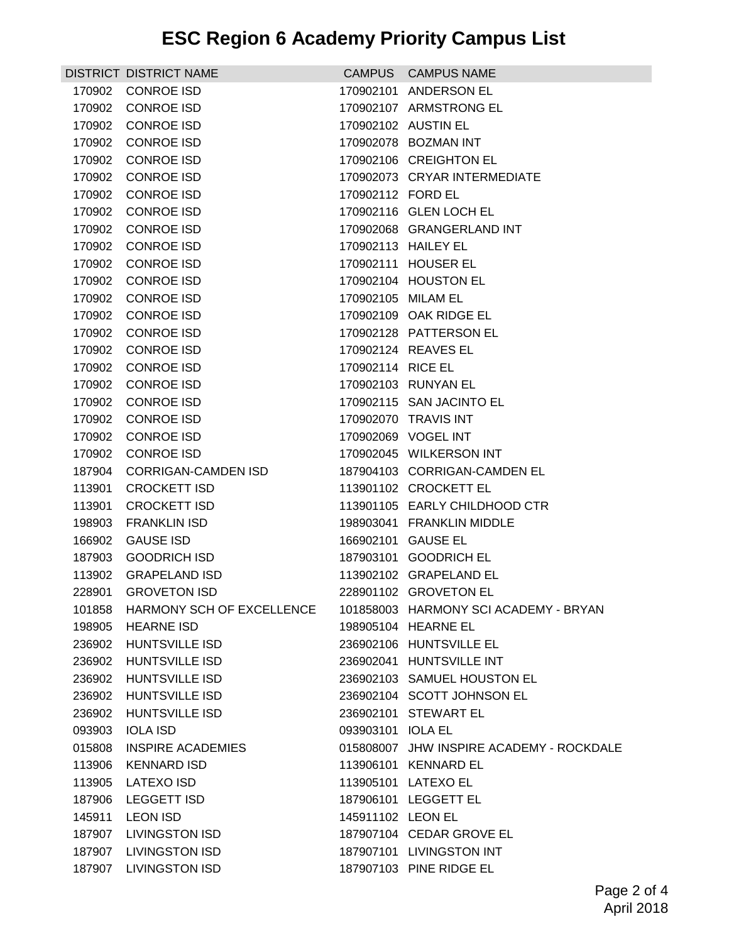|        | <b>DISTRICT DISTRICT NAME</b>    |                    | CAMPUS CAMPUS NAME                       |
|--------|----------------------------------|--------------------|------------------------------------------|
| 170902 | <b>CONROE ISD</b>                |                    | 170902101 ANDERSON EL                    |
| 170902 | <b>CONROE ISD</b>                |                    | 170902107 ARMSTRONG EL                   |
| 170902 | <b>CONROE ISD</b>                |                    | 170902102 AUSTIN EL                      |
| 170902 | <b>CONROE ISD</b>                |                    | 170902078 BOZMAN INT                     |
| 170902 | <b>CONROE ISD</b>                |                    | 170902106 CREIGHTON EL                   |
| 170902 | <b>CONROE ISD</b>                |                    | 170902073 CRYAR INTERMEDIATE             |
| 170902 | <b>CONROE ISD</b>                | 170902112 FORD EL  |                                          |
| 170902 | <b>CONROE ISD</b>                |                    | 170902116 GLEN LOCH EL                   |
| 170902 | <b>CONROE ISD</b>                |                    | 170902068 GRANGERLAND INT                |
| 170902 | <b>CONROE ISD</b>                |                    | 170902113 HAILEY EL                      |
| 170902 | <b>CONROE ISD</b>                |                    | 170902111 HOUSER EL                      |
| 170902 | <b>CONROE ISD</b>                |                    | 170902104 HOUSTON EL                     |
| 170902 | <b>CONROE ISD</b>                | 170902105 MILAM EL |                                          |
| 170902 | <b>CONROE ISD</b>                |                    | 170902109 OAK RIDGE EL                   |
| 170902 | <b>CONROE ISD</b>                |                    | 170902128 PATTERSON EL                   |
| 170902 | <b>CONROE ISD</b>                |                    | 170902124 REAVES EL                      |
| 170902 | <b>CONROE ISD</b>                | 170902114 RICE EL  |                                          |
| 170902 | CONROE ISD                       |                    | 170902103 RUNYAN EL                      |
| 170902 | CONROE ISD                       |                    | 170902115 SAN JACINTO EL                 |
| 170902 | <b>CONROE ISD</b>                |                    | 170902070 TRAVIS INT                     |
| 170902 | <b>CONROE ISD</b>                |                    | 170902069 VOGEL INT                      |
| 170902 | <b>CONROE ISD</b>                |                    | 170902045 WILKERSON INT                  |
| 187904 | <b>CORRIGAN-CAMDEN ISD</b>       |                    | 187904103 CORRIGAN-CAMDEN EL             |
| 113901 | <b>CROCKETT ISD</b>              |                    | 113901102 CROCKETT EL                    |
| 113901 | <b>CROCKETT ISD</b>              |                    | 113901105 EARLY CHILDHOOD CTR            |
| 198903 | <b>FRANKLIN ISD</b>              |                    | 198903041 FRANKLIN MIDDLE                |
| 166902 | <b>GAUSE ISD</b>                 |                    | 166902101 GAUSE EL                       |
| 187903 | <b>GOODRICH ISD</b>              |                    | 187903101 GOODRICH EL                    |
| 113902 | <b>GRAPELAND ISD</b>             |                    | 113902102 GRAPELAND EL                   |
|        | 228901 GROVETON ISD              |                    | 228901102 GROVETON EL                    |
|        | 101858 HARMONY SCH OF EXCELLENCE |                    | 101858003 HARMONY SCI ACADEMY - BRYAN    |
|        | 198905 HEARNE ISD                |                    | 198905104 HEARNE EL                      |
| 236902 | <b>HUNTSVILLE ISD</b>            |                    | 236902106 HUNTSVILLE EL                  |
| 236902 | <b>HUNTSVILLE ISD</b>            |                    | 236902041 HUNTSVILLE INT                 |
|        | 236902 HUNTSVILLE ISD            |                    | 236902103 SAMUEL HOUSTON EL              |
|        | 236902 HUNTSVILLE ISD            |                    | 236902104 SCOTT JOHNSON EL               |
|        | 236902 HUNTSVILLE ISD            |                    | 236902101 STEWART EL                     |
| 093903 | IOLA ISD                         | 093903101 IOLA EL  |                                          |
| 015808 | INSPIRE ACADEMIES                |                    | 015808007 JHW INSPIRE ACADEMY - ROCKDALE |
| 113906 | <b>KENNARD ISD</b>               |                    | 113906101 KENNARD EL                     |
| 113905 | LATEXO ISD                       |                    | 113905101 LATEXO EL                      |
| 187906 | <b>LEGGETT ISD</b>               |                    | 187906101 LEGGETT EL                     |
| 145911 | <b>LEON ISD</b>                  | 145911102 LEON EL  |                                          |
| 187907 | <b>LIVINGSTON ISD</b>            |                    | 187907104 CEDAR GROVE EL                 |
|        | 187907 LIVINGSTON ISD            |                    | 187907101 LIVINGSTON INT                 |
|        | 187907 LIVINGSTON ISD            |                    | 187907103 PINE RIDGE EL                  |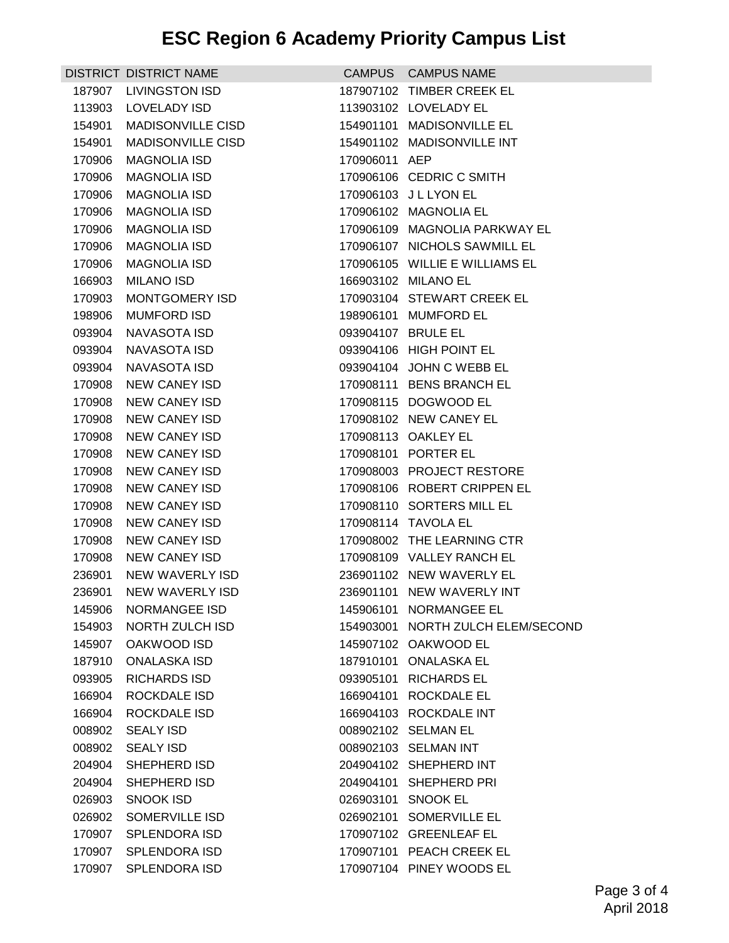|        | DISTRICT DISTRICT NAME   |                    | CAMPUS CAMPUS NAME                |
|--------|--------------------------|--------------------|-----------------------------------|
| 187907 | <b>LIVINGSTON ISD</b>    |                    | 187907102 TIMBER CREEK EL         |
| 113903 | <b>LOVELADY ISD</b>      |                    | 113903102 LOVELADY EL             |
| 154901 | <b>MADISONVILLE CISD</b> |                    | 154901101 MADISONVILLE EL         |
| 154901 | <b>MADISONVILLE CISD</b> |                    | 154901102 MADISONVILLE INT        |
| 170906 | <b>MAGNOLIA ISD</b>      | 170906011 AEP      |                                   |
| 170906 | <b>MAGNOLIA ISD</b>      |                    | 170906106 CEDRIC C SMITH          |
| 170906 | <b>MAGNOLIA ISD</b>      |                    | 170906103 J L LYON EL             |
| 170906 | <b>MAGNOLIA ISD</b>      |                    | 170906102 MAGNOLIA EL             |
| 170906 | <b>MAGNOLIA ISD</b>      |                    | 170906109 MAGNOLIA PARKWAY EL     |
| 170906 | <b>MAGNOLIA ISD</b>      |                    | 170906107 NICHOLS SAWMILL EL      |
| 170906 | <b>MAGNOLIA ISD</b>      |                    | 170906105 WILLIE E WILLIAMS EL    |
| 166903 | <b>MILANO ISD</b>        |                    | 166903102 MILANO EL               |
| 170903 | <b>MONTGOMERY ISD</b>    |                    | 170903104 STEWART CREEK EL        |
| 198906 | <b>MUMFORD ISD</b>       |                    | 198906101 MUMFORD EL              |
| 093904 | <b>NAVASOTA ISD</b>      | 093904107 BRULE EL |                                   |
| 093904 | <b>NAVASOTA ISD</b>      |                    | 093904106 HIGH POINT EL           |
| 093904 | NAVASOTA ISD             |                    | 093904104 JOHN C WEBB EL          |
| 170908 | <b>NEW CANEY ISD</b>     |                    | 170908111 BENS BRANCH EL          |
| 170908 | <b>NEW CANEY ISD</b>     |                    | 170908115 DOGWOOD EL              |
| 170908 | <b>NEW CANEY ISD</b>     |                    | 170908102 NEW CANEY EL            |
| 170908 | <b>NEW CANEY ISD</b>     |                    | 170908113 OAKLEY EL               |
| 170908 | <b>NEW CANEY ISD</b>     |                    | 170908101 PORTER EL               |
| 170908 | <b>NEW CANEY ISD</b>     |                    | 170908003 PROJECT RESTORE         |
| 170908 | NEW CANEY ISD            |                    | 170908106 ROBERT CRIPPEN EL       |
| 170908 | <b>NEW CANEY ISD</b>     |                    | 170908110 SORTERS MILL EL         |
| 170908 | <b>NEW CANEY ISD</b>     |                    | 170908114 TAVOLA EL               |
| 170908 | <b>NEW CANEY ISD</b>     |                    | 170908002 THE LEARNING CTR        |
| 170908 | <b>NEW CANEY ISD</b>     |                    | 170908109 VALLEY RANCH EL         |
| 236901 | NEW WAVERLY ISD          |                    | 236901102 NEW WAVERLY EL          |
| 236901 | NEW WAVERLY ISD          |                    | 236901101 NEW WAVERLY INT         |
| 145906 | NORMANGEE ISD            |                    | 145906101 NORMANGEE EL            |
| 154903 | NORTH ZULCH ISD          |                    | 154903001 NORTH ZULCH ELEM/SECOND |
| 145907 | OAKWOOD ISD              |                    | 145907102 OAKWOOD EL              |
| 187910 | <b>ONALASKA ISD</b>      |                    | 187910101 ONALASKA EL             |
| 093905 | <b>RICHARDS ISD</b>      |                    | 093905101 RICHARDS EL             |
| 166904 | ROCKDALE ISD             |                    | 166904101 ROCKDALE EL             |
| 166904 | ROCKDALE ISD             |                    | 166904103 ROCKDALE INT            |
| 008902 | <b>SEALY ISD</b>         |                    | 008902102 SELMAN EL               |
| 008902 | <b>SEALY ISD</b>         |                    | 008902103 SELMAN INT              |
| 204904 | SHEPHERD ISD             |                    | 204904102 SHEPHERD INT            |
| 204904 | <b>SHEPHERD ISD</b>      |                    | 204904101 SHEPHERD PRI            |
| 026903 | <b>SNOOK ISD</b>         |                    | 026903101 SNOOK EL                |
| 026902 | SOMERVILLE ISD           |                    | 026902101 SOMERVILLE EL           |
| 170907 | <b>SPLENDORA ISD</b>     |                    | 170907102 GREENLEAF EL            |
| 170907 | <b>SPLENDORA ISD</b>     |                    | 170907101 PEACH CREEK EL          |
| 170907 | SPLENDORA ISD            |                    | 170907104 PINEY WOODS EL          |